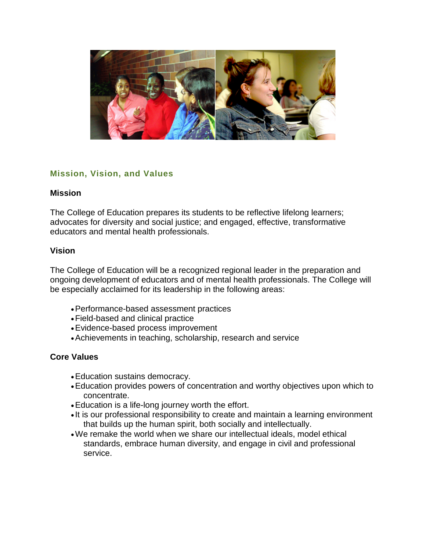

# **Mission, Vision, and Values**

### **Mission**

The College of Education prepares its students to be reflective lifelong learners; advocates for diversity and social justice; and engaged, effective, transformative educators and mental health professionals.

### **Vision**

The College of Education will be a recognized regional leader in the preparation and ongoing development of educators and of mental health professionals. The College will be especially acclaimed for its leadership in the following areas:

- •Performance-based assessment practices
- •Field-based and clinical practice
- •Evidence-based process improvement
- •Achievements in teaching, scholarship, research and service

### **Core Values**

- •Education sustains democracy.
- •Education provides powers of concentration and worthy objectives upon which to concentrate.
- •Education is a life-long journey worth the effort.
- It is our professional responsibility to create and maintain a learning environment that builds up the human spirit, both socially and intellectually.
- •We remake the world when we share our intellectual ideals, model ethical standards, embrace human diversity, and engage in civil and professional service.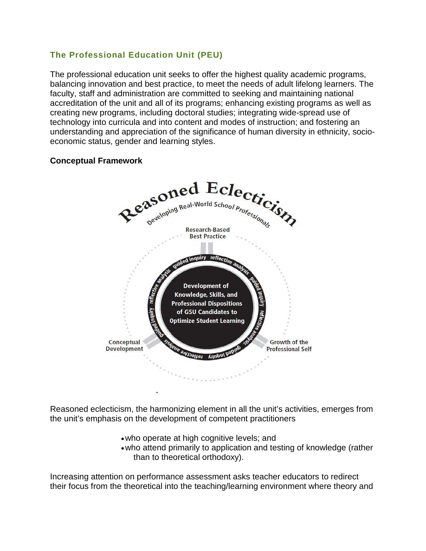## **The Professional Education Unit (PEU)**

The professional education unit seeks to offer the highest quality academic programs, balancing innovation and best practice, to meet the needs of adult lifelong learners. The faculty, staff and administration are committed to seeking and maintaining national accreditation of the unit and all of its programs; enhancing existing programs as well as creating new programs, including doctoral studies; integrating wide-spread use of technology into curricula and into content and modes of instruction; and fostering an understanding and appreciation of the significance of human diversity in ethnicity, socioeconomic status, gender and learning styles.

### **Conceptual Framework**



Reasoned eclecticism, the harmonizing element in all the unit's activities, emerges from the unit's emphasis on the development of competent practitioners

- •who operate at high cognitive levels; and
- •who attend primarily to application and testing of knowledge (rather than to theoretical orthodoxy).

Increasing attention on performance assessment asks teacher educators to redirect their focus from the theoretical into the teaching/learning environment where theory and